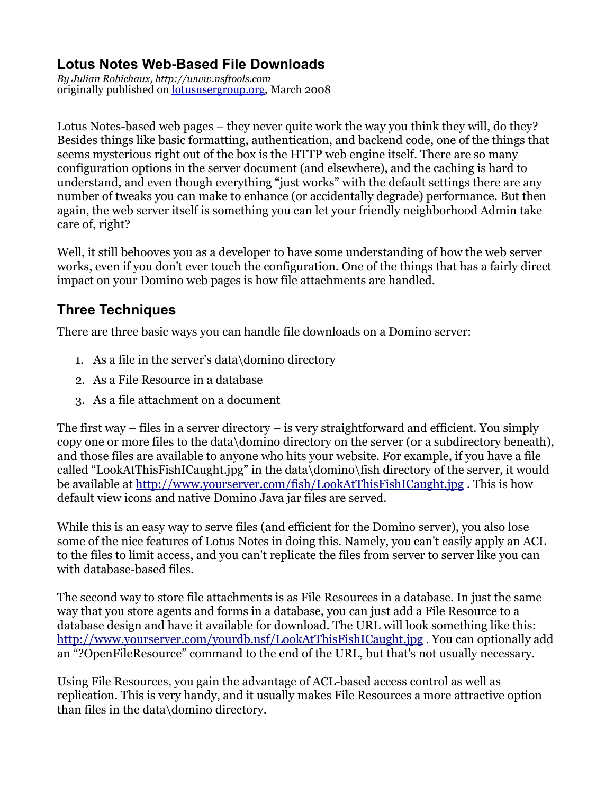## **Lotus Notes Web-Based File Downloads**

*By Julian Robichaux, http://www.nsftools.com*  originally published on [lotususergroup.org](http://lotususergroup.org), March 2008

Lotus Notes-based web pages – they never quite work the way you think they will, do they? Besides things like basic formatting, authentication, and backend code, one of the things that seems mysterious right out of the box is the HTTP web engine itself. There are so many configuration options in the server document (and elsewhere), and the caching is hard to understand, and even though everything "just works" with the default settings there are any number of tweaks you can make to enhance (or accidentally degrade) performance. But then again, the web server itself is something you can let your friendly neighborhood Admin take care of, right?

Well, it still behooves you as a developer to have some understanding of how the web server works, even if you don't ever touch the configuration. One of the things that has a fairly direct impact on your Domino web pages is how file attachments are handled.

## **Three Techniques**

There are three basic ways you can handle file downloads on a Domino server:

- 1. As a file in the server's data\domino directory
- 2. As a File Resource in a database
- 3. As a file attachment on a document

The first way – files in a server directory – is very straightforward and efficient. You simply copy one or more files to the data\domino directory on the server (or a subdirectory beneath), and those files are available to anyone who hits your website. For example, if you have a file called "LookAtThisFishICaught.jpg" in the data\domino\fish directory of the server, it would be available at<http://www.yourserver.com/fish/LookAtThisFishICaught.jpg> . This is how default view icons and native Domino Java jar files are served.

While this is an easy way to serve files (and efficient for the Domino server), you also lose some of the nice features of Lotus Notes in doing this. Namely, you can't easily apply an ACL to the files to limit access, and you can't replicate the files from server to server like you can with database-based files.

The second way to store file attachments is as File Resources in a database. In just the same way that you store agents and forms in a database, you can just add a File Resource to a database design and have it available for download. The URL will look something like this: [http://www.yourserver.com/yourdb.nsf/LookAtThisFishICaught.jpg](http://www.yourserver.com/fish/LookAtThisFishICaught.jpg) . You can optionally add an "?OpenFileResource" command to the end of the URL, but that's not usually necessary.

Using File Resources, you gain the advantage of ACL-based access control as well as replication. This is very handy, and it usually makes File Resources a more attractive option than files in the data\domino directory.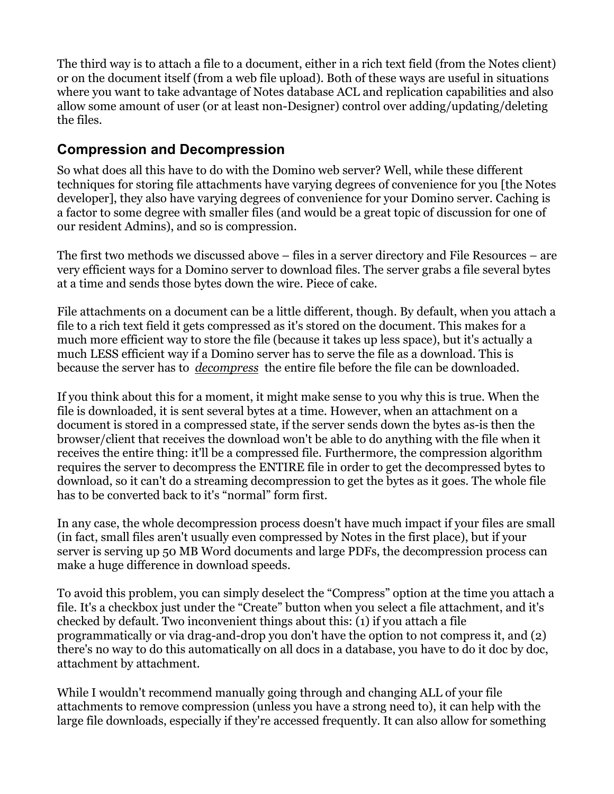The third way is to attach a file to a document, either in a rich text field (from the Notes client) or on the document itself (from a web file upload). Both of these ways are useful in situations where you want to take advantage of Notes database ACL and replication capabilities and also allow some amount of user (or at least non-Designer) control over adding/updating/deleting the files.

## **Compression and Decompression**

So what does all this have to do with the Domino web server? Well, while these different techniques for storing file attachments have varying degrees of convenience for you [the Notes developer], they also have varying degrees of convenience for your Domino server. Caching is a factor to some degree with smaller files (and would be a great topic of discussion for one of our resident Admins), and so is compression.

The first two methods we discussed above – files in a server directory and File Resources – are very efficient ways for a Domino server to download files. The server grabs a file several bytes at a time and sends those bytes down the wire. Piece of cake.

File attachments on a document can be a little different, though. By default, when you attach a file to a rich text field it gets compressed as it's stored on the document. This makes for a much more efficient way to store the file (because it takes up less space), but it's actually a much LESS efficient way if a Domino server has to serve the file as a download. This is because the server has to *decompress* the entire file before the file can be downloaded.

If you think about this for a moment, it might make sense to you why this is true. When the file is downloaded, it is sent several bytes at a time. However, when an attachment on a document is stored in a compressed state, if the server sends down the bytes as-is then the browser/client that receives the download won't be able to do anything with the file when it receives the entire thing: it'll be a compressed file. Furthermore, the compression algorithm requires the server to decompress the ENTIRE file in order to get the decompressed bytes to download, so it can't do a streaming decompression to get the bytes as it goes. The whole file has to be converted back to it's "normal" form first.

In any case, the whole decompression process doesn't have much impact if your files are small (in fact, small files aren't usually even compressed by Notes in the first place), but if your server is serving up 50 MB Word documents and large PDFs, the decompression process can make a huge difference in download speeds.

To avoid this problem, you can simply deselect the "Compress" option at the time you attach a file. It's a checkbox just under the "Create" button when you select a file attachment, and it's checked by default. Two inconvenient things about this: (1) if you attach a file programmatically or via drag-and-drop you don't have the option to not compress it, and (2) there's no way to do this automatically on all docs in a database, you have to do it doc by doc, attachment by attachment.

While I wouldn't recommend manually going through and changing ALL of your file attachments to remove compression (unless you have a strong need to), it can help with the large file downloads, especially if they're accessed frequently. It can also allow for something